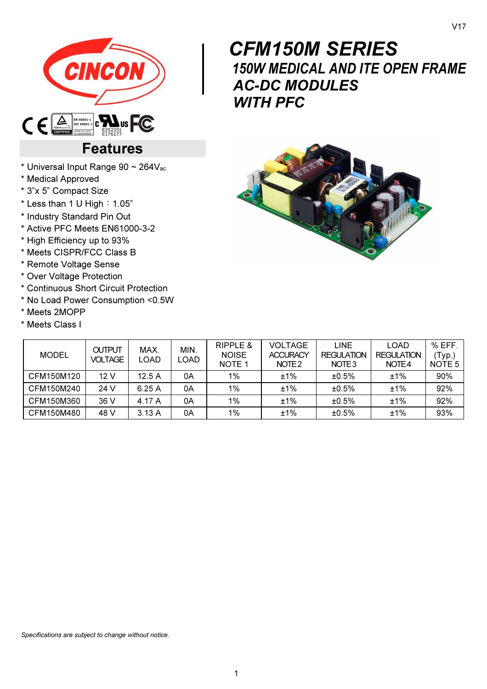

# $\begin{bmatrix} & & & & \ & & & & \ & & & & \ & & & & 15 \\ & & & & & & 15 \\ & & & & & & A \end{bmatrix}$  CFM150M SERIES 150W MEDICAL AND ITE OPEN FRAME AC-DC MODULES WITH **PFC**

# Features

- \* Universal Input Range 90 ~ 264Vac
- \* Medical Approved
- \* 3"x 5" Compact Size
- $*$  Less than 1 U High: 1.05"
- \* Industry Standard Pin Out
- \* Active PFC Meets EN61000-3-2
- \* High Efficiency up to 93%
- \* Meets CISPR/FCC Class B
- \* Remote Voltage Sense
- \* Over Voltage Protection
- \* Continuous Short Circuit Protection
- \* No Load Power Consumption <0.5W
- \* Meets 2MOPP
- \* Meets Class I

| <b>CARD STATE</b><br>C<br>빛<br><sup>top</sup><br>Ł,<br>$\frac{1}{2}$ |
|----------------------------------------------------------------------|
|----------------------------------------------------------------------|

| <b>MODEL</b> | <b>OUTPUT</b><br><b>VOLTAGE</b> | MAX.<br>LOAD | MIN.<br>_OAD | <b>RIPPLE &amp;</b><br><b>NOISE</b><br>NOTE <sub>1</sub> | VOLTAGE<br><b>ACCURACY</b><br>NOTE <sub>2</sub> | <b>LINE</b><br><b>REGULATION</b><br>NOTE <sub>3</sub> | LOAD<br><b>REGULATION</b><br>NOTE4 | $%$ EFF.<br>(Typ.)<br>NOTE <sub>5</sub> |
|--------------|---------------------------------|--------------|--------------|----------------------------------------------------------|-------------------------------------------------|-------------------------------------------------------|------------------------------------|-----------------------------------------|
| CFM150M120   | 12 V                            | 12.5A        | 0A           | 1%                                                       | ±1%                                             | ±0.5%                                                 | ±1%                                | 90%                                     |
| CFM150M240   | 24 V                            | 6.25A        | 0Α           | 1%                                                       | ±1%                                             | ±0.5%                                                 | ±1%                                | 92%                                     |
| CFM150M360   | 36 V                            | 4.17 A       | 0A           | 1%                                                       | ±1%                                             | ±0.5%                                                 | ±1%                                | 92%                                     |
| CFM150M480   | 48 V                            | 3.13A        | 0Α           | 1%                                                       | ±1%                                             | ±0.5%                                                 | ±1%                                | 93%                                     |